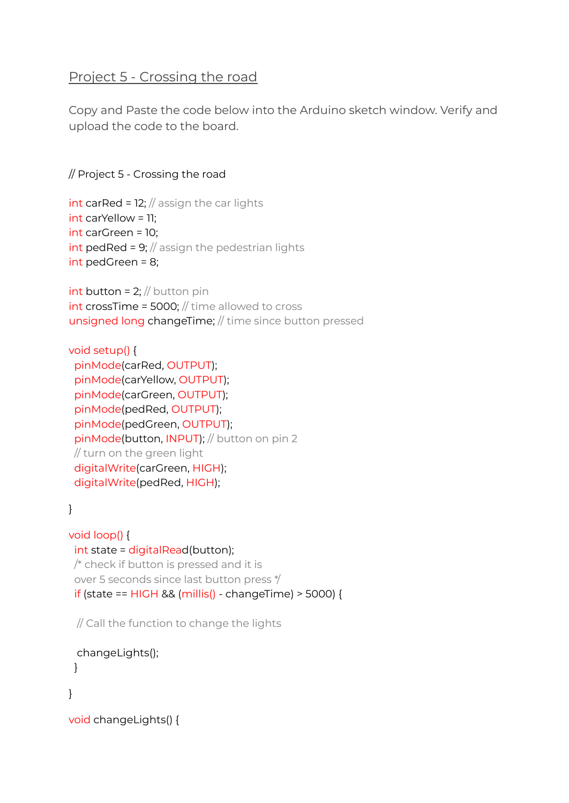# Project 5 - Crossing the road

Copy and Paste the code below into the Arduino sketch window. Verify and upload the code to the board.

#### // Project 5 - Crossing the road

```
int carRed = 12; // assign the car lights
int carYellow = 11;
int carGreen = 10;
int pedRed = 9; \frac{1}{2} assign the pedestrian lights
int pedGreen = 8;
```

```
int button = 2; // button pin
int\ crossTime = 5000; // time allowed to crossunsigned long changeTime; // time since button pressed
```

```
void setup() {
 pinMode(carRed, OUTPUT);
 pinMode(carYellow, OUTPUT);
 pinMode(carGreen, OUTPUT);
 pinMode(pedRed, OUTPUT);
 pinMode(pedGreen, OUTPUT);
 pinMode(button, INPUT); // button on pin 2
 // turn on the green light
 digitalWrite(carGreen, HIGH);
 digitalWrite(pedRed, HIGH);
```
}

```
void loop() {
 int state = digitalRead(button);
/* check if button is pressed and it is
 over 5 seconds since last button press */
 if (state == HIGH && (millis() - changeTime) > 5000) {
```
// Call the function to change the lights

```
changeLights();
}
```

```
}
```

```
void changeLights() {
```